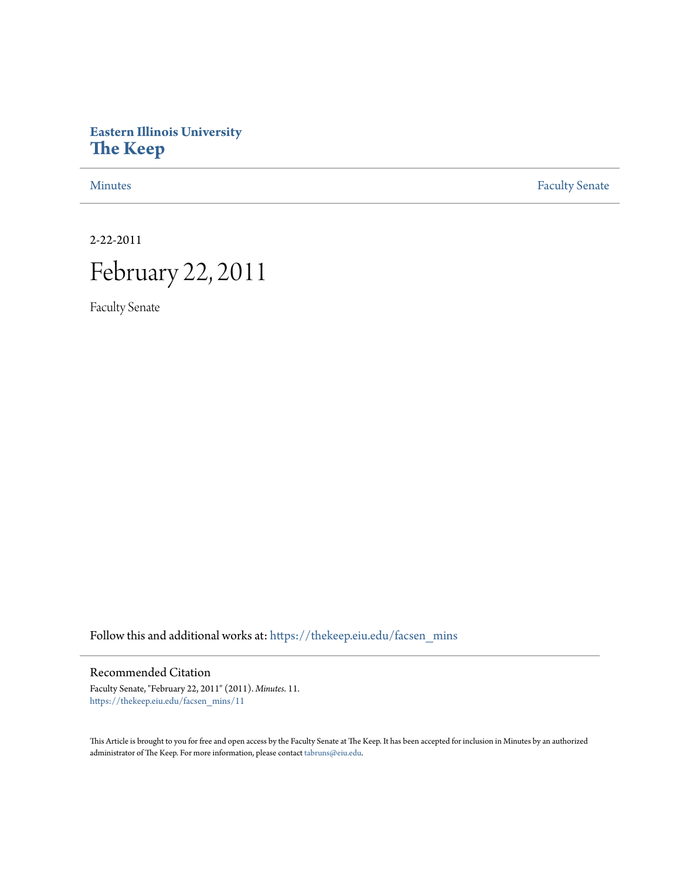# **Eastern Illinois University [The Keep](https://thekeep.eiu.edu?utm_source=thekeep.eiu.edu%2Ffacsen_mins%2F11&utm_medium=PDF&utm_campaign=PDFCoverPages)**

[Minutes](https://thekeep.eiu.edu/facsen_mins?utm_source=thekeep.eiu.edu%2Ffacsen_mins%2F11&utm_medium=PDF&utm_campaign=PDFCoverPages) **[Faculty Senate](https://thekeep.eiu.edu/fac_senate?utm_source=thekeep.eiu.edu%2Ffacsen_mins%2F11&utm_medium=PDF&utm_campaign=PDFCoverPages)** 

2-22-2011

# February 22, 2011

Faculty Senate

Follow this and additional works at: [https://thekeep.eiu.edu/facsen\\_mins](https://thekeep.eiu.edu/facsen_mins?utm_source=thekeep.eiu.edu%2Ffacsen_mins%2F11&utm_medium=PDF&utm_campaign=PDFCoverPages)

### Recommended Citation

Faculty Senate, "February 22, 2011" (2011). *Minutes*. 11. [https://thekeep.eiu.edu/facsen\\_mins/11](https://thekeep.eiu.edu/facsen_mins/11?utm_source=thekeep.eiu.edu%2Ffacsen_mins%2F11&utm_medium=PDF&utm_campaign=PDFCoverPages)

This Article is brought to you for free and open access by the Faculty Senate at The Keep. It has been accepted for inclusion in Minutes by an authorized administrator of The Keep. For more information, please contact [tabruns@eiu.edu.](mailto:tabruns@eiu.edu)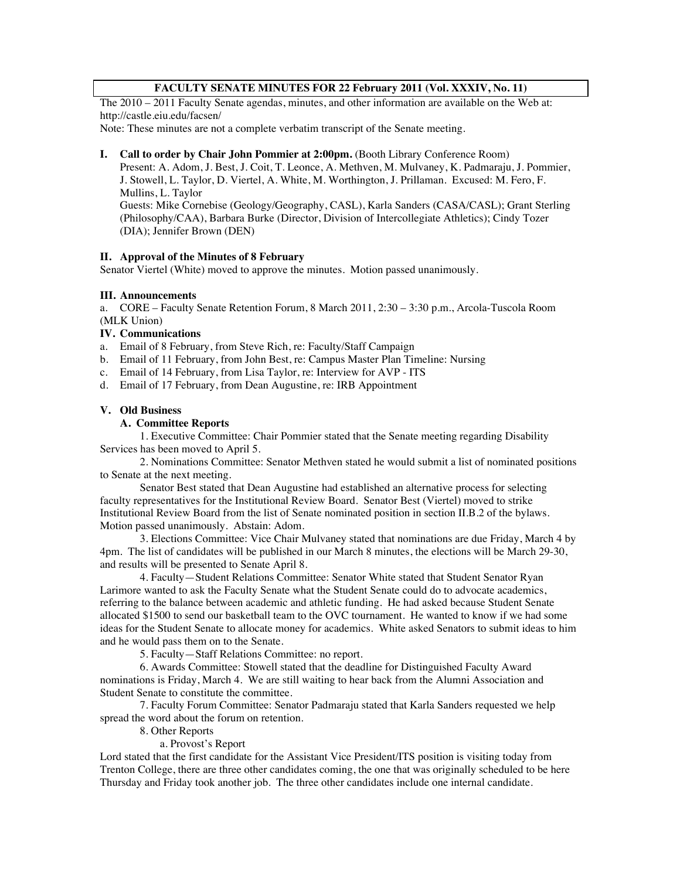#### **FACULTY SENATE MINUTES FOR 22 February 2011 (Vol. XXXIV, No. 11)**

The 2010 – 2011 Faculty Senate agendas, minutes, and other information are available on the Web at: http://castle.eiu.edu/facsen/

Note: These minutes are not a complete verbatim transcript of the Senate meeting.

#### **I. Call to order by Chair John Pommier at 2:00pm.** (Booth Library Conference Room)

Present: A. Adom, J. Best, J. Coit, T. Leonce, A. Methven, M. Mulvaney, K. Padmaraju, J. Pommier, J. Stowell, L. Taylor, D. Viertel, A. White, M. Worthington, J. Prillaman. Excused: M. Fero, F. Mullins, L. Taylor Guests: Mike Cornebise (Geology/Geography, CASL), Karla Sanders (CASA/CASL); Grant Sterling

(Philosophy/CAA), Barbara Burke (Director, Division of Intercollegiate Athletics); Cindy Tozer (DIA); Jennifer Brown (DEN)

#### **II. Approval of the Minutes of 8 February**

Senator Viertel (White) moved to approve the minutes. Motion passed unanimously.

#### **III. Announcements**

a. CORE – Faculty Senate Retention Forum, 8 March 2011, 2:30 – 3:30 p.m., Arcola-Tuscola Room (MLK Union)

#### **IV. Communications**

- a. Email of 8 February, from Steve Rich, re: Faculty/Staff Campaign
- b. Email of 11 February, from John Best, re: Campus Master Plan Timeline: Nursing
- c. Email of 14 February, from Lisa Taylor, re: Interview for AVP ITS
- d. Email of 17 February, from Dean Augustine, re: IRB Appointment

#### **V. Old Business**

#### **A. Committee Reports**

1. Executive Committee: Chair Pommier stated that the Senate meeting regarding Disability Services has been moved to April 5.

2. Nominations Committee: Senator Methven stated he would submit a list of nominated positions to Senate at the next meeting.

Senator Best stated that Dean Augustine had established an alternative process for selecting faculty representatives for the Institutional Review Board. Senator Best (Viertel) moved to strike Institutional Review Board from the list of Senate nominated position in section II.B.2 of the bylaws. Motion passed unanimously. Abstain: Adom.

3. Elections Committee: Vice Chair Mulvaney stated that nominations are due Friday, March 4 by 4pm. The list of candidates will be published in our March 8 minutes, the elections will be March 29-30, and results will be presented to Senate April 8.

4. Faculty—Student Relations Committee: Senator White stated that Student Senator Ryan Larimore wanted to ask the Faculty Senate what the Student Senate could do to advocate academics, referring to the balance between academic and athletic funding. He had asked because Student Senate allocated \$1500 to send our basketball team to the OVC tournament. He wanted to know if we had some ideas for the Student Senate to allocate money for academics. White asked Senators to submit ideas to him and he would pass them on to the Senate.

5. Faculty—Staff Relations Committee: no report.

6. Awards Committee: Stowell stated that the deadline for Distinguished Faculty Award nominations is Friday, March 4. We are still waiting to hear back from the Alumni Association and Student Senate to constitute the committee.

7. Faculty Forum Committee: Senator Padmaraju stated that Karla Sanders requested we help spread the word about the forum on retention.

8. Other Reports

a. Provost's Report

Lord stated that the first candidate for the Assistant Vice President/ITS position is visiting today from Trenton College, there are three other candidates coming, the one that was originally scheduled to be here Thursday and Friday took another job. The three other candidates include one internal candidate.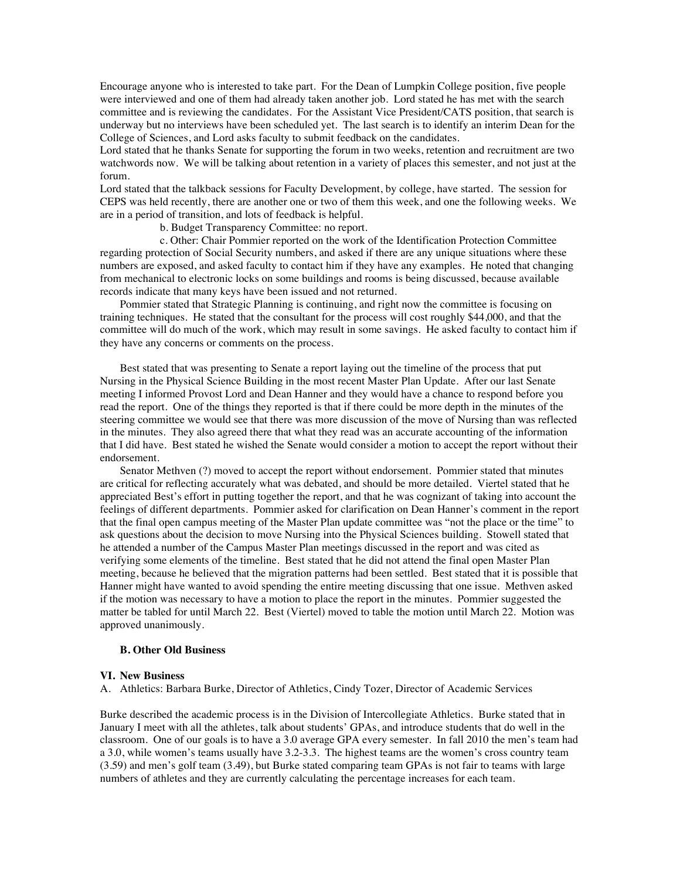Encourage anyone who is interested to take part. For the Dean of Lumpkin College position, five people were interviewed and one of them had already taken another job. Lord stated he has met with the search committee and is reviewing the candidates. For the Assistant Vice President/CATS position, that search is underway but no interviews have been scheduled yet. The last search is to identify an interim Dean for the College of Sciences, and Lord asks faculty to submit feedback on the candidates.

Lord stated that he thanks Senate for supporting the forum in two weeks, retention and recruitment are two watchwords now. We will be talking about retention in a variety of places this semester, and not just at the forum.

Lord stated that the talkback sessions for Faculty Development, by college, have started. The session for CEPS was held recently, there are another one or two of them this week, and one the following weeks. We are in a period of transition, and lots of feedback is helpful.

b. Budget Transparency Committee: no report.

c. Other: Chair Pommier reported on the work of the Identification Protection Committee regarding protection of Social Security numbers, and asked if there are any unique situations where these numbers are exposed, and asked faculty to contact him if they have any examples. He noted that changing from mechanical to electronic locks on some buildings and rooms is being discussed, because available records indicate that many keys have been issued and not returned.

Pommier stated that Strategic Planning is continuing, and right now the committee is focusing on training techniques. He stated that the consultant for the process will cost roughly \$44,000, and that the committee will do much of the work, which may result in some savings. He asked faculty to contact him if they have any concerns or comments on the process.

Best stated that was presenting to Senate a report laying out the timeline of the process that put Nursing in the Physical Science Building in the most recent Master Plan Update. After our last Senate meeting I informed Provost Lord and Dean Hanner and they would have a chance to respond before you read the report. One of the things they reported is that if there could be more depth in the minutes of the steering committee we would see that there was more discussion of the move of Nursing than was reflected in the minutes. They also agreed there that what they read was an accurate accounting of the information that I did have. Best stated he wished the Senate would consider a motion to accept the report without their endorsement.

Senator Methven (?) moved to accept the report without endorsement. Pommier stated that minutes are critical for reflecting accurately what was debated, and should be more detailed. Viertel stated that he appreciated Best's effort in putting together the report, and that he was cognizant of taking into account the feelings of different departments. Pommier asked for clarification on Dean Hanner's comment in the report that the final open campus meeting of the Master Plan update committee was "not the place or the time" to ask questions about the decision to move Nursing into the Physical Sciences building. Stowell stated that he attended a number of the Campus Master Plan meetings discussed in the report and was cited as verifying some elements of the timeline. Best stated that he did not attend the final open Master Plan meeting, because he believed that the migration patterns had been settled. Best stated that it is possible that Hanner might have wanted to avoid spending the entire meeting discussing that one issue. Methven asked if the motion was necessary to have a motion to place the report in the minutes. Pommier suggested the matter be tabled for until March 22. Best (Viertel) moved to table the motion until March 22. Motion was approved unanimously.

#### **B. Other Old Business**

#### **VI. New Business**

A. Athletics: Barbara Burke, Director of Athletics, Cindy Tozer, Director of Academic Services

Burke described the academic process is in the Division of Intercollegiate Athletics. Burke stated that in January I meet with all the athletes, talk about students' GPAs, and introduce students that do well in the classroom. One of our goals is to have a 3.0 average GPA every semester. In fall 2010 the men's team had a 3.0, while women's teams usually have 3.2-3.3. The highest teams are the women's cross country team (3.59) and men's golf team (3.49), but Burke stated comparing team GPAs is not fair to teams with large numbers of athletes and they are currently calculating the percentage increases for each team.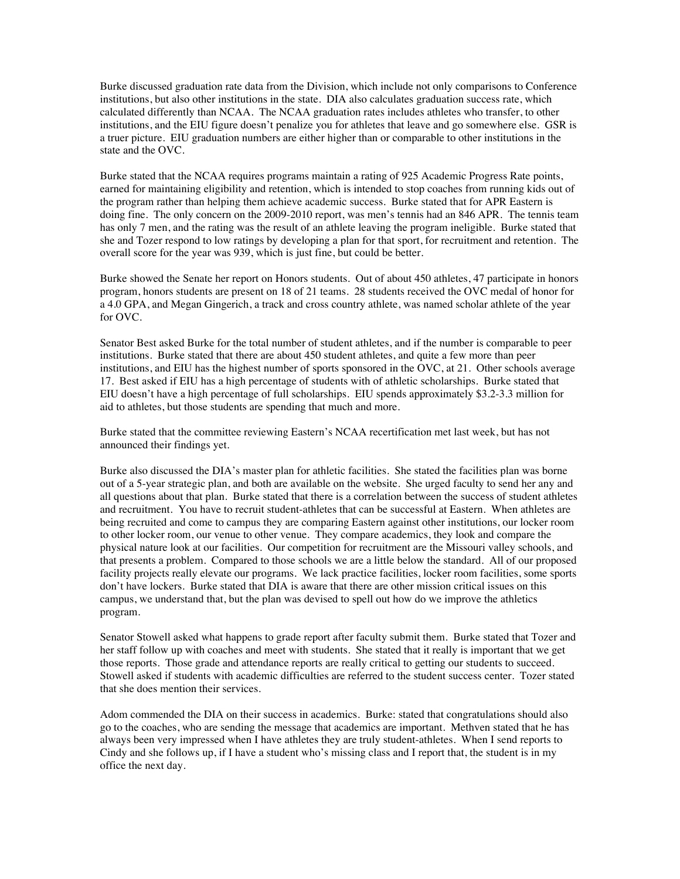Burke discussed graduation rate data from the Division, which include not only comparisons to Conference institutions, but also other institutions in the state. DIA also calculates graduation success rate, which calculated differently than NCAA. The NCAA graduation rates includes athletes who transfer, to other institutions, and the EIU figure doesn't penalize you for athletes that leave and go somewhere else. GSR is a truer picture. EIU graduation numbers are either higher than or comparable to other institutions in the state and the OVC.

Burke stated that the NCAA requires programs maintain a rating of 925 Academic Progress Rate points, earned for maintaining eligibility and retention, which is intended to stop coaches from running kids out of the program rather than helping them achieve academic success. Burke stated that for APR Eastern is doing fine. The only concern on the 2009-2010 report, was men's tennis had an 846 APR. The tennis team has only 7 men, and the rating was the result of an athlete leaving the program ineligible. Burke stated that she and Tozer respond to low ratings by developing a plan for that sport, for recruitment and retention. The overall score for the year was 939, which is just fine, but could be better.

Burke showed the Senate her report on Honors students. Out of about 450 athletes, 47 participate in honors program, honors students are present on 18 of 21 teams. 28 students received the OVC medal of honor for a 4.0 GPA, and Megan Gingerich, a track and cross country athlete, was named scholar athlete of the year for OVC.

Senator Best asked Burke for the total number of student athletes, and if the number is comparable to peer institutions. Burke stated that there are about 450 student athletes, and quite a few more than peer institutions, and EIU has the highest number of sports sponsored in the OVC, at 21. Other schools average 17. Best asked if EIU has a high percentage of students with of athletic scholarships. Burke stated that EIU doesn't have a high percentage of full scholarships. EIU spends approximately \$3.2-3.3 million for aid to athletes, but those students are spending that much and more.

Burke stated that the committee reviewing Eastern's NCAA recertification met last week, but has not announced their findings yet.

Burke also discussed the DIA's master plan for athletic facilities. She stated the facilities plan was borne out of a 5-year strategic plan, and both are available on the website. She urged faculty to send her any and all questions about that plan. Burke stated that there is a correlation between the success of student athletes and recruitment. You have to recruit student-athletes that can be successful at Eastern. When athletes are being recruited and come to campus they are comparing Eastern against other institutions, our locker room to other locker room, our venue to other venue. They compare academics, they look and compare the physical nature look at our facilities. Our competition for recruitment are the Missouri valley schools, and that presents a problem. Compared to those schools we are a little below the standard. All of our proposed facility projects really elevate our programs. We lack practice facilities, locker room facilities, some sports don't have lockers. Burke stated that DIA is aware that there are other mission critical issues on this campus, we understand that, but the plan was devised to spell out how do we improve the athletics program.

Senator Stowell asked what happens to grade report after faculty submit them. Burke stated that Tozer and her staff follow up with coaches and meet with students. She stated that it really is important that we get those reports. Those grade and attendance reports are really critical to getting our students to succeed. Stowell asked if students with academic difficulties are referred to the student success center. Tozer stated that she does mention their services.

Adom commended the DIA on their success in academics. Burke: stated that congratulations should also go to the coaches, who are sending the message that academics are important. Methven stated that he has always been very impressed when I have athletes they are truly student-athletes. When I send reports to Cindy and she follows up, if I have a student who's missing class and I report that, the student is in my office the next day.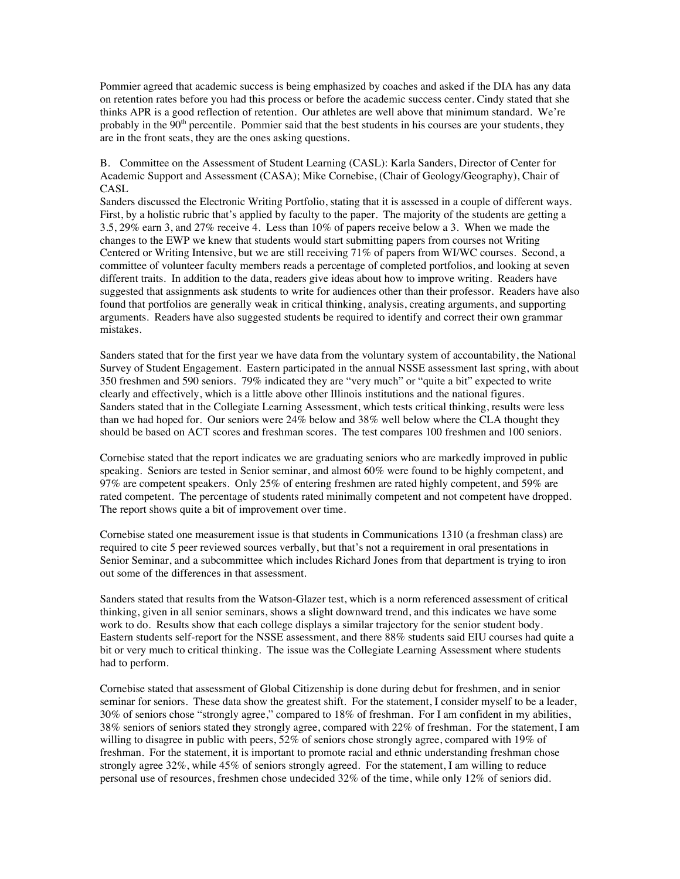Pommier agreed that academic success is being emphasized by coaches and asked if the DIA has any data on retention rates before you had this process or before the academic success center. Cindy stated that she thinks APR is a good reflection of retention. Our athletes are well above that minimum standard. We're probably in the  $90<sup>th</sup>$  percentile. Pommier said that the best students in his courses are your students, they are in the front seats, they are the ones asking questions.

B. Committee on the Assessment of Student Learning (CASL): Karla Sanders, Director of Center for Academic Support and Assessment (CASA); Mike Cornebise, (Chair of Geology/Geography), Chair of CASL

Sanders discussed the Electronic Writing Portfolio, stating that it is assessed in a couple of different ways. First, by a holistic rubric that's applied by faculty to the paper. The majority of the students are getting a 3.5, 29% earn 3, and 27% receive 4. Less than 10% of papers receive below a 3. When we made the changes to the EWP we knew that students would start submitting papers from courses not Writing Centered or Writing Intensive, but we are still receiving 71% of papers from WI/WC courses. Second, a committee of volunteer faculty members reads a percentage of completed portfolios, and looking at seven different traits. In addition to the data, readers give ideas about how to improve writing. Readers have suggested that assignments ask students to write for audiences other than their professor. Readers have also found that portfolios are generally weak in critical thinking, analysis, creating arguments, and supporting arguments. Readers have also suggested students be required to identify and correct their own grammar mistakes.

Sanders stated that for the first year we have data from the voluntary system of accountability, the National Survey of Student Engagement. Eastern participated in the annual NSSE assessment last spring, with about 350 freshmen and 590 seniors. 79% indicated they are "very much" or "quite a bit" expected to write clearly and effectively, which is a little above other Illinois institutions and the national figures. Sanders stated that in the Collegiate Learning Assessment, which tests critical thinking, results were less than we had hoped for. Our seniors were 24% below and 38% well below where the CLA thought they should be based on ACT scores and freshman scores. The test compares 100 freshmen and 100 seniors.

Cornebise stated that the report indicates we are graduating seniors who are markedly improved in public speaking. Seniors are tested in Senior seminar, and almost 60% were found to be highly competent, and 97% are competent speakers. Only 25% of entering freshmen are rated highly competent, and 59% are rated competent. The percentage of students rated minimally competent and not competent have dropped. The report shows quite a bit of improvement over time.

Cornebise stated one measurement issue is that students in Communications 1310 (a freshman class) are required to cite 5 peer reviewed sources verbally, but that's not a requirement in oral presentations in Senior Seminar, and a subcommittee which includes Richard Jones from that department is trying to iron out some of the differences in that assessment.

Sanders stated that results from the Watson-Glazer test, which is a norm referenced assessment of critical thinking, given in all senior seminars, shows a slight downward trend, and this indicates we have some work to do. Results show that each college displays a similar trajectory for the senior student body. Eastern students self-report for the NSSE assessment, and there 88% students said EIU courses had quite a bit or very much to critical thinking. The issue was the Collegiate Learning Assessment where students had to perform.

Cornebise stated that assessment of Global Citizenship is done during debut for freshmen, and in senior seminar for seniors. These data show the greatest shift. For the statement, I consider myself to be a leader, 30% of seniors chose "strongly agree," compared to 18% of freshman. For I am confident in my abilities, 38% seniors of seniors stated they strongly agree, compared with 22% of freshman. For the statement, I am willing to disagree in public with peers, 52% of seniors chose strongly agree, compared with 19% of freshman. For the statement, it is important to promote racial and ethnic understanding freshman chose strongly agree 32%, while 45% of seniors strongly agreed. For the statement, I am willing to reduce personal use of resources, freshmen chose undecided 32% of the time, while only 12% of seniors did.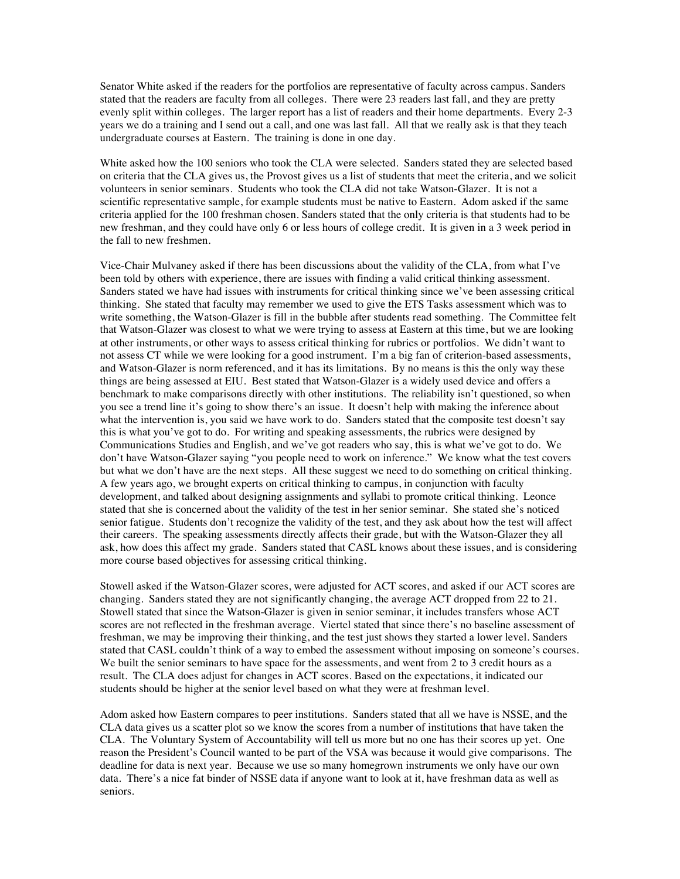Senator White asked if the readers for the portfolios are representative of faculty across campus. Sanders stated that the readers are faculty from all colleges. There were 23 readers last fall, and they are pretty evenly split within colleges. The larger report has a list of readers and their home departments. Every 2-3 years we do a training and I send out a call, and one was last fall. All that we really ask is that they teach undergraduate courses at Eastern. The training is done in one day.

White asked how the 100 seniors who took the CLA were selected. Sanders stated they are selected based on criteria that the CLA gives us, the Provost gives us a list of students that meet the criteria, and we solicit volunteers in senior seminars. Students who took the CLA did not take Watson-Glazer. It is not a scientific representative sample, for example students must be native to Eastern. Adom asked if the same criteria applied for the 100 freshman chosen. Sanders stated that the only criteria is that students had to be new freshman, and they could have only 6 or less hours of college credit. It is given in a 3 week period in the fall to new freshmen.

Vice-Chair Mulvaney asked if there has been discussions about the validity of the CLA, from what I've been told by others with experience, there are issues with finding a valid critical thinking assessment. Sanders stated we have had issues with instruments for critical thinking since we've been assessing critical thinking. She stated that faculty may remember we used to give the ETS Tasks assessment which was to write something, the Watson-Glazer is fill in the bubble after students read something. The Committee felt that Watson-Glazer was closest to what we were trying to assess at Eastern at this time, but we are looking at other instruments, or other ways to assess critical thinking for rubrics or portfolios. We didn't want to not assess CT while we were looking for a good instrument. I'm a big fan of criterion-based assessments, and Watson-Glazer is norm referenced, and it has its limitations. By no means is this the only way these things are being assessed at EIU. Best stated that Watson-Glazer is a widely used device and offers a benchmark to make comparisons directly with other institutions. The reliability isn't questioned, so when you see a trend line it's going to show there's an issue. It doesn't help with making the inference about what the intervention is, you said we have work to do. Sanders stated that the composite test doesn't say this is what you've got to do. For writing and speaking assessments, the rubrics were designed by Communications Studies and English, and we've got readers who say, this is what we've got to do. We don't have Watson-Glazer saying "you people need to work on inference." We know what the test covers but what we don't have are the next steps. All these suggest we need to do something on critical thinking. A few years ago, we brought experts on critical thinking to campus, in conjunction with faculty development, and talked about designing assignments and syllabi to promote critical thinking. Leonce stated that she is concerned about the validity of the test in her senior seminar. She stated she's noticed senior fatigue. Students don't recognize the validity of the test, and they ask about how the test will affect their careers. The speaking assessments directly affects their grade, but with the Watson-Glazer they all ask, how does this affect my grade. Sanders stated that CASL knows about these issues, and is considering more course based objectives for assessing critical thinking.

Stowell asked if the Watson-Glazer scores, were adjusted for ACT scores, and asked if our ACT scores are changing. Sanders stated they are not significantly changing, the average ACT dropped from 22 to 21. Stowell stated that since the Watson-Glazer is given in senior seminar, it includes transfers whose ACT scores are not reflected in the freshman average. Viertel stated that since there's no baseline assessment of freshman, we may be improving their thinking, and the test just shows they started a lower level. Sanders stated that CASL couldn't think of a way to embed the assessment without imposing on someone's courses. We built the senior seminars to have space for the assessments, and went from 2 to 3 credit hours as a result. The CLA does adjust for changes in ACT scores. Based on the expectations, it indicated our students should be higher at the senior level based on what they were at freshman level.

Adom asked how Eastern compares to peer institutions. Sanders stated that all we have is NSSE, and the CLA data gives us a scatter plot so we know the scores from a number of institutions that have taken the CLA. The Voluntary System of Accountability will tell us more but no one has their scores up yet. One reason the President's Council wanted to be part of the VSA was because it would give comparisons. The deadline for data is next year. Because we use so many homegrown instruments we only have our own data. There's a nice fat binder of NSSE data if anyone want to look at it, have freshman data as well as seniors.